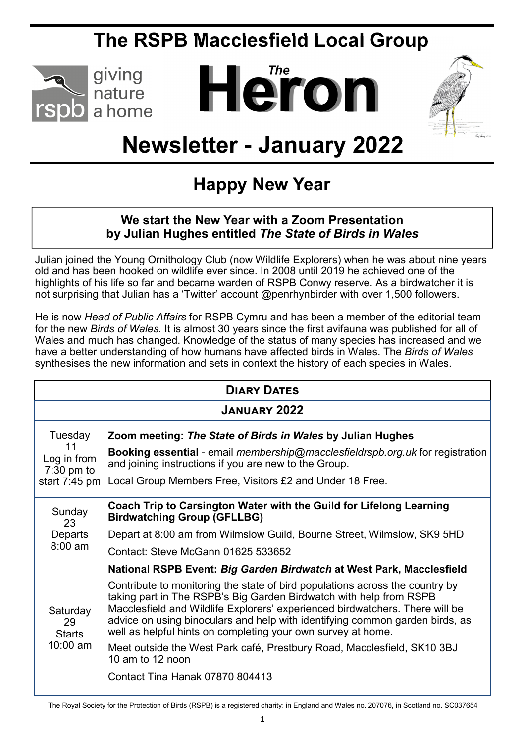## **The RSPB Macclesfield Local Group**



# *The* **Heron**



# **Newsletter - January 2022**

## **Happy New Year**

#### **We start the New Year with a Zoom Presentation by Julian Hughes entitled** *The State of Birds in Wales*

Julian joined the Young Ornithology Club (now Wildlife Explorers) when he was about nine years old and has been hooked on wildlife ever since. In 2008 until 2019 he achieved one of the highlights of his life so far and became warden of RSPB Conwy reserve. As a birdwatcher it is not surprising that Julian has a 'Twitter' account @penrhynbirder with over 1,500 followers.

He is now *Head of Public Affairs* for RSPB Cymru and has been a member of the editorial team for the new *Birds of Wales.* It is almost 30 years since the first avifauna was published for all of Wales and much has changed. Knowledge of the status of many species has increased and we have a better understanding of how humans have affected birds in Wales. The *Birds of Wales* synthesises the new information and sets in context the history of each species in Wales.

| <b>DIARY DATES</b>                                                      |                                                                                                                                                                                                                                                                                                                                                                                                                                                                                                                                                                                              |  |
|-------------------------------------------------------------------------|----------------------------------------------------------------------------------------------------------------------------------------------------------------------------------------------------------------------------------------------------------------------------------------------------------------------------------------------------------------------------------------------------------------------------------------------------------------------------------------------------------------------------------------------------------------------------------------------|--|
| <b>JANUARY 2022</b>                                                     |                                                                                                                                                                                                                                                                                                                                                                                                                                                                                                                                                                                              |  |
| Tuesday<br>11<br>Log in from<br>$7:30 \text{ pm}$ to<br>start $7:45$ pm | Zoom meeting: The State of Birds in Wales by Julian Hughes<br><b>Booking essential</b> - email <i>membership@macclesfieldrspb.org.uk</i> for registration<br>and joining instructions if you are new to the Group.<br>Local Group Members Free, Visitors £2 and Under 18 Free.                                                                                                                                                                                                                                                                                                               |  |
| Sunday<br>23<br>Departs<br>$8:00$ am                                    | Coach Trip to Carsington Water with the Guild for Lifelong Learning<br><b>Birdwatching Group (GFLLBG)</b><br>Depart at 8:00 am from Wilmslow Guild, Bourne Street, Wilmslow, SK9 5HD<br>Contact: Steve McGann 01625 533652                                                                                                                                                                                                                                                                                                                                                                   |  |
| Saturday<br>29<br><b>Starts</b><br>$10:00$ am                           | National RSPB Event: Big Garden Birdwatch at West Park, Macclesfield<br>Contribute to monitoring the state of bird populations across the country by<br>taking part in The RSPB's Big Garden Birdwatch with help from RSPB<br>Macclesfield and Wildlife Explorers' experienced birdwatchers. There will be<br>advice on using binoculars and help with identifying common garden birds, as<br>well as helpful hints on completing your own survey at home.<br>Meet outside the West Park café, Prestbury Road, Macclesfield, SK10 3BJ<br>10 am to 12 noon<br>Contact Tina Hanak 07870 804413 |  |

The Royal Society for the Protection of Birds (RSPB) is a registered charity: in England and Wales no. 207076, in Scotland no. SC037654